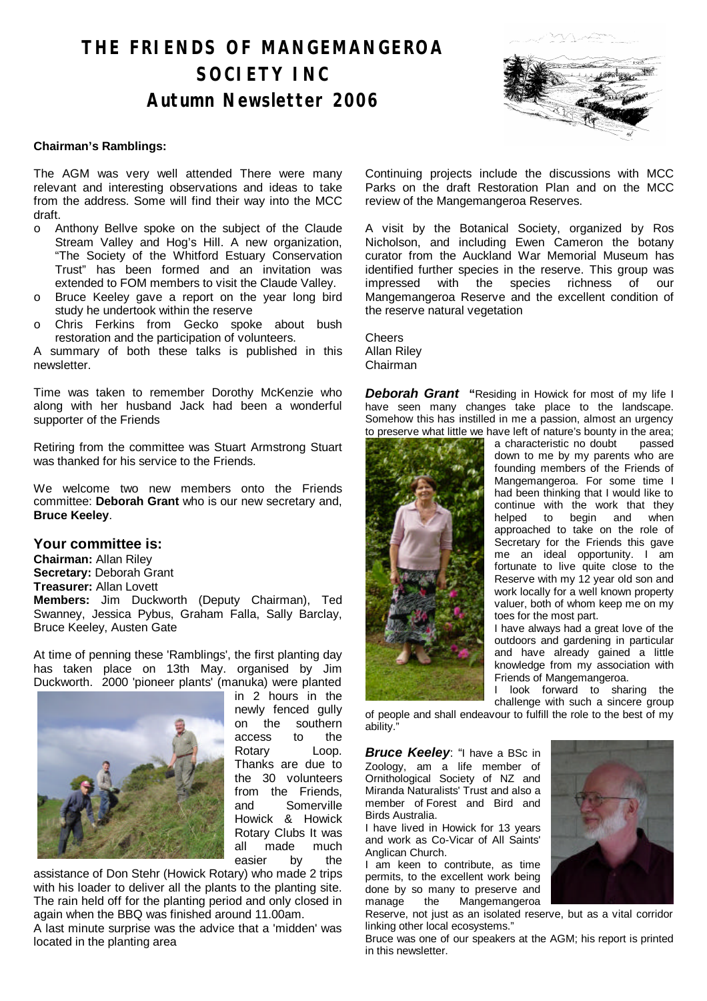# **THE FRIENDS OF MANGEMANGEROA SOCIETY INC Autumn Newsletter 2006**



### **Chairman's Ramblings:**

The AGM was very well attended There were many relevant and interesting observations and ideas to take from the address. Some will find their way into the MCC draft.

- o Anthony Bellve spoke on the subject of the Claude Stream Valley and Hog's Hill. A new organization, "The Society of the Whitford Estuary Conservation Trust" has been formed and an invitation was extended to FOM members to visit the Claude Valley.
- o Bruce Keeley gave a report on the year long bird study he undertook within the reserve
- o Chris Ferkins from Gecko spoke about bush restoration and the participation of volunteers.

A summary of both these talks is published in this newsletter.

Time was taken to remember Dorothy McKenzie who along with her husband Jack had been a wonderful supporter of the Friends

Retiring from the committee was Stuart Armstrong Stuart was thanked for his service to the Friends.

We welcome two new members onto the Friends committee: **Deborah Grant** who is our new secretary and, **Bruce Keeley**.

### **Your committee is:**

**Chairman:** Allan Riley **Secretary:** Deborah Grant **Treasurer:** Allan Lovett **Members:** Jim Duckworth (Deputy Chairman), Ted Swanney, Jessica Pybus, Graham Falla, Sally Barclay, Bruce Keeley, Austen Gate

At time of penning these 'Ramblings', the first planting day has taken place on 13th May. organised by Jim Duckworth. 2000 'pioneer plants' (manuka) were planted



in 2 hours in the newly fenced gully on the southern access to the Rotary Loop. Thanks are due to the 30 volunteers from the Friends and Somerville Howick & Howick Rotary Clubs It was all made much easier by the

assistance of Don Stehr (Howick Rotary) who made 2 trips with his loader to deliver all the plants to the planting site. The rain held off for the planting period and only closed in again when the BBQ was finished around 11.00am.

A last minute surprise was the advice that a 'midden' was located in the planting area

Continuing projects include the discussions with MCC Parks on the draft Restoration Plan and on the MCC review of the Mangemangeroa Reserves.

A visit by the Botanical Society, organized by Ros Nicholson, and including Ewen Cameron the botany curator from the Auckland War Memorial Museum has identified further species in the reserve. This group was impressed with the species richness of our Mangemangeroa Reserve and the excellent condition of the reserve natural vegetation

**Cheers** Allan Riley Chairman

**Deborah Grant** "Residing in Howick for most of my life I have seen many changes take place to the landscape. Somehow this has instilled in me a passion, almost an urgency to preserve what little we have left of nature's bounty in the area;



a characteristic no doubt passed down to me by my parents who are founding members of the Friends of Mangemangeroa. For some time I had been thinking that I would like to continue with the work that they helped to begin and when approached to take on the role of Secretary for the Friends this gave me an ideal opportunity. I am fortunate to live quite close to the Reserve with my 12 year old son and work locally for a well known property valuer, both of whom keep me on my toes for the most part.

I have always had a great love of the outdoors and gardening in particular and have already gained a little knowledge from my association with Friends of Mangemangeroa.

I look forward to sharing the challenge with such a sincere group

of people and shall endeavour to fulfill the role to the best of my ability."

**Bruce Keeley:** "I have a BSc in Zoology, am a life member of Ornithological Society of NZ and Miranda Naturalists' Trust and also a member of Forest and Bird and Birds Australia.

I have lived in Howick for 13 years and work as Co-Vicar of All Saints' Anglican Church.

I am keen to contribute, as time permits, to the excellent work being done by so many to preserve and manage the Mangemangeroa



Reserve, not just as an isolated reserve, but as a vital corridor linking other local ecosystems."

Bruce was one of our speakers at the AGM; his report is printed in this newsletter.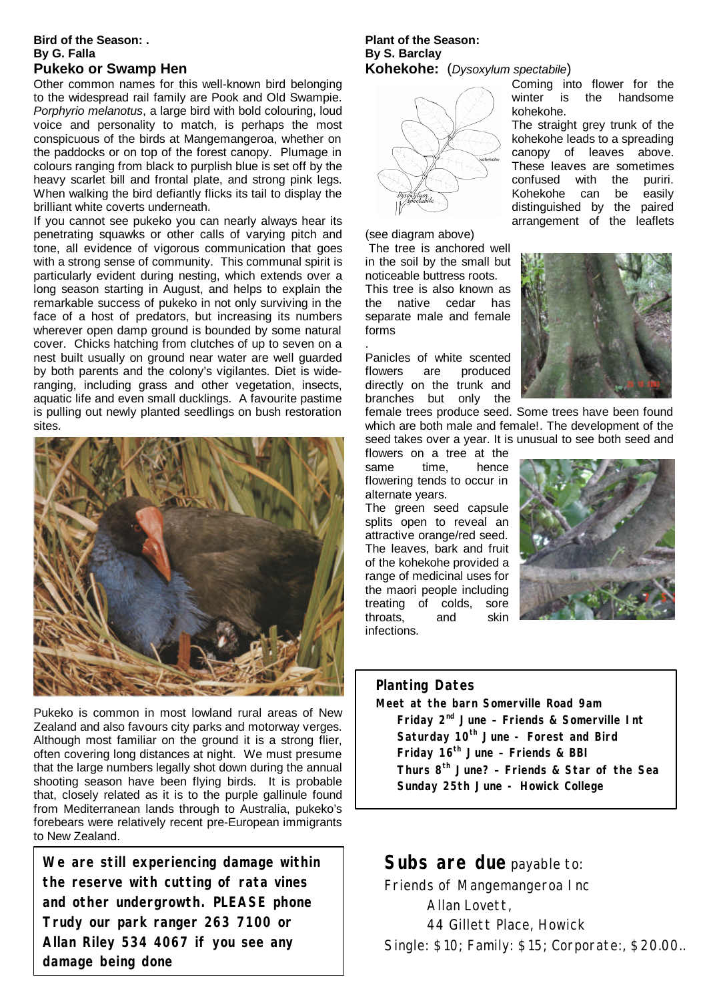#### **Bird of the Season: . By G. Falla Pukeko or Swamp Hen**

Other common names for this well-known bird belonging to the widespread rail family are Pook and Old Swampie. *Porphyrio melanotus*, a large bird with bold colouring, loud voice and personality to match, is perhaps the most conspicuous of the birds at Mangemangeroa, whether on the paddocks or on top of the forest canopy. Plumage in colours ranging from black to purplish blue is set off by the heavy scarlet bill and frontal plate, and strong pink legs. When walking the bird defiantly flicks its tail to display the brilliant white coverts underneath.

If you cannot see pukeko you can nearly always hear its penetrating squawks or other calls of varying pitch and tone, all evidence of vigorous communication that goes with a strong sense of community. This communal spirit is particularly evident during nesting, which extends over a long season starting in August, and helps to explain the remarkable success of pukeko in not only surviving in the face of a host of predators, but increasing its numbers wherever open damp ground is bounded by some natural cover. Chicks hatching from clutches of up to seven on a nest built usually on ground near water are well guarded by both parents and the colony's vigilantes. Diet is wideranging, including grass and other vegetation, insects, aquatic life and even small ducklings. A favourite pastime is pulling out newly planted seedlings on bush restoration sites.



Pukeko is common in most lowland rural areas of New Zealand and also favours city parks and motorway verges. Although most familiar on the ground it is a strong flier, often covering long distances at night. We must presume that the large numbers legally shot down during the annual shooting season have been flying birds. It is probable that, closely related as it is to the purple gallinule found from Mediterranean lands through to Australia, pukeko's forebears were relatively recent pre-European immigrants to New Zealand.

**We are still experiencing damage within the reserve with cutting of rata vines and other undergrowth. PLEASE phone Trudy our park ranger 263 7100 or Allan Riley 534 4067 if you see any damage being done**

### **Plant of the Season: By S. Barclay Kohekohe:** (*Dysoxylum spectabile*)



(see diagram above)

.

 The tree is anchored well in the soil by the small but noticeable buttress roots. This tree is also known as the native cedar has separate male and female forms

Panicles of white scented flowers are produced directly on the trunk and branches but only the

female trees produce seed. Some trees have been found which are both male and female!. The development of the seed takes over a year. It is unusual to see both seed and

flowers on a tree at the same time, hence flowering tends to occur in alternate years.

The green seed capsule splits open to reveal an attractive orange/red seed. The leaves, bark and fruit of the kohekohe provided a range of medicinal uses for the maori people including treating of colds, sore throats, and skin infections.



# **Planting Dates**

**Meet at the barn Somerville Road 9am Friday 2nd June – Friends & Somerville Int Saturday 10th June - Forest and Bird Friday 16th June – Friends & BBI Thurs 8th June? – Friends & Star of the Sea Sunday 25th June - Howick College**

# **Subs are due** payable to:

Friends of Mangemangeroa Inc Allan Lovett, 44 Gillett Place, Howick Single: \$10; Family: \$15; Corporate:, \$20.00..



Coming into flower for the winter is the handsome

The straight grey trunk of the kohekohe leads to a spreading canopy of leaves above. These leaves are sometimes confused with the puriri. Kohekohe can be easily distinguished by the paired arrangement of the leaflets

kohekohe.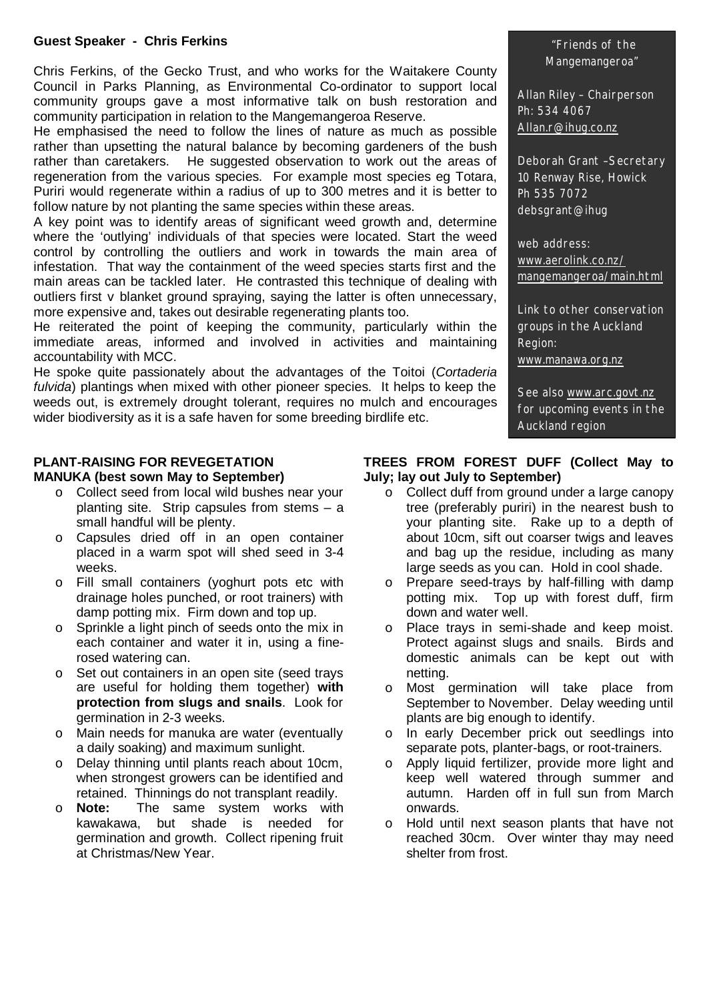### **Guest Speaker - Chris Ferkins**

Chris Ferkins, of the Gecko Trust, and who works for the Waitakere County Council in Parks Planning, as Environmental Co-ordinator to support local community groups gave a most informative talk on bush restoration and community participation in relation to the Mangemangeroa Reserve.

He emphasised the need to follow the lines of nature as much as possible rather than upsetting the natural balance by becoming gardeners of the bush rather than caretakers. He suggested observation to work out the areas of regeneration from the various species. For example most species eg Totara, Puriri would regenerate within a radius of up to 300 metres and it is better to follow nature by not planting the same species within these areas.

A key point was to identify areas of significant weed growth and, determine where the 'outlying' individuals of that species were located. Start the weed control by controlling the outliers and work in towards the main area of infestation. That way the containment of the weed species starts first and the main areas can be tackled later. He contrasted this technique of dealing with outliers first v blanket ground spraying, saying the latter is often unnecessary, more expensive and, takes out desirable regenerating plants too.

He reiterated the point of keeping the community, particularly within the immediate areas, informed and involved in activities and maintaining accountability with MCC.

He spoke quite passionately about the advantages of the Toitoi (*Cortaderia fulvida*) plantings when mixed with other pioneer species. It helps to keep the weeds out, is extremely drought tolerant, requires no mulch and encourages wider biodiversity as it is a safe haven for some breeding birdlife etc.

### **PLANT-RAISING FOR REVEGETATION MANUKA (best sown May to September)**

- o Collect seed from local wild bushes near your planting site. Strip capsules from stems – a small handful will be plenty.
- o Capsules dried off in an open container placed in a warm spot will shed seed in 3-4 weeks.
- o Fill small containers (yoghurt pots etc with drainage holes punched, or root trainers) with damp potting mix. Firm down and top up.
- o Sprinkle a light pinch of seeds onto the mix in each container and water it in, using a finerosed watering can.
- o Set out containers in an open site (seed trays are useful for holding them together) **with protection from slugs and snails**. Look for germination in 2-3 weeks.
- o Main needs for manuka are water (eventually a daily soaking) and maximum sunlight.
- o Delay thinning until plants reach about 10cm, when strongest growers can be identified and retained. Thinnings do not transplant readily.
- o **Note:** The same system works with kawakawa, but shade is needed for germination and growth. Collect ripening fruit at Christmas/New Year.

### "Friends of the Mangemangeroa"

Allan Riley – Chairperson Ph: 534 4067 Allan.r@ihug.co.nz

Deborah Grant –Secretary 10 Renway Rise, Howick Ph 535 7072 debsgrant@ihug

web address: www.aerolink.co.nz/ mangemangeroa/main.html

Link to other conservation groups in the Auckland Region: www.manawa.org.nz

See also www.arc.govt.nz for upcoming events in the Auckland region

## **TREES FROM FOREST DUFF (Collect May to July; lay out July to September)**

- $\circ$  Collect duff from ground under a large canopy tree (preferably puriri) in the nearest bush to your planting site. Rake up to a depth of about 10cm, sift out coarser twigs and leaves and bag up the residue, including as many large seeds as you can. Hold in cool shade.
- o Prepare seed-trays by half-filling with damp potting mix. Top up with forest duff, firm down and water well.
- o Place trays in semi-shade and keep moist. Protect against slugs and snails. Birds and domestic animals can be kept out with netting.
- o Most germination will take place from September to November. Delay weeding until plants are big enough to identify.
- o In early December prick out seedlings into separate pots, planter-bags, or root-trainers.
- o Apply liquid fertilizer, provide more light and keep well watered through summer and autumn. Harden off in full sun from March onwards.
- o Hold until next season plants that have not reached 30cm. Over winter thay may need shelter from frost.